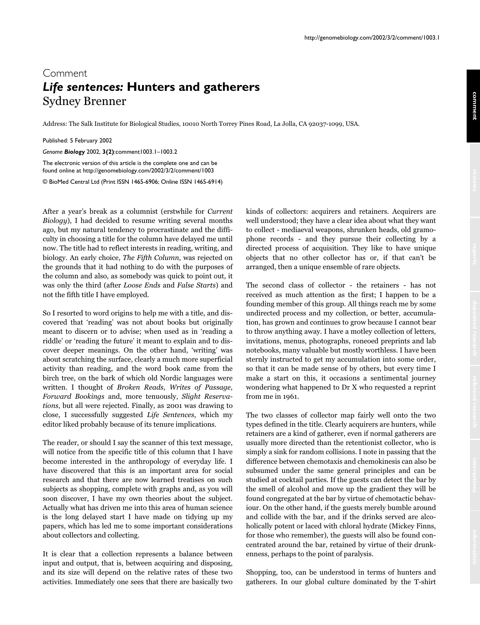## comment **comment**

Address: The Salk Institute for Biological Studies, 10010 North Torrey Pines Road, La Jolla, CA 92037-1099, USA.

Published: 5 February 2002 *Genome Biology* 2002, **3(2)**:comment1003.1–1003.2

Comment

**Sydney Brenner** 

The electronic version of this article is the complete one and can be found online at http://genomebiology.com/2002/3/2/comment/1003 © BioMed Central Ltd (Print ISSN 1465-6906; Online ISSN 1465-6914)

*Life sentences:* **Hunters and gatherers**

After a year's break as a columnist (erstwhile for *Current Biology*), I had decided to resume writing several months ago, but my natural tendency to procrastinate and the difficulty in choosing a title for the column have delayed me until now. The title had to reflect interests in reading, writing, and biology. An early choice, *The Fifth Column*, was rejected on the grounds that it had nothing to do with the purposes of the column and also, as somebody was quick to point out, it was only the third (after *Loose Ends* and *False Starts*) and not the fifth title I have employed.

So I resorted to word origins to help me with a title, and discovered that 'reading' was not about books but originally meant to discern or to advise; when used as in 'reading a riddle' or 'reading the future' it meant to explain and to discover deeper meanings. On the other hand, 'writing' was about scratching the surface, clearly a much more superficial activity than reading, and the word book came from the birch tree, on the bark of which old Nordic languages were written. I thought of Broken Reads, Writes of Passage, Forward Bookings and, more tenuously, Slight Reservations, but all were rejected. Finally, as 2001 was drawing to close, I successfully suggested *Life Sentences*, which my editor liked probably because of its tenure implications.

The reader, or should I say the scanner of this text message, will notice from the specific title of this column that I have become interested in the anthropology of everyday life. I have discovered that this is an important area for social research and that there are now learned treatises on such subjects as shopping, complete with graphs and, as you will soon discover, I have my own theories about the subject. Actually what has driven me into this area of human science is the long delayed start I have made on tidying up my papers, which has led me to some important considerations about collectors and collecting.

It is clear that a collection represents a balance between input and output, that is, between acquiring and disposing, and its size will depend on the relative rates of these two activities. Immediately one sees that there are basically two kinds of collectors: acquirers and retainers. Acquirers are well understood; they have a clear idea about what they want to collect - mediaeval weapons, shrunken heads, old gramophone records - and they pursue their collecting by a directed process of acquisition. They like to have unique objects that no other collector has or, if that can't be arranged, then a unique ensemble of rare objects.

The second class of collector - the retainers - has not received as much attention as the first; I happen to be a founding member of this group. All things reach me by some undirected process and my collection, or better, accumulation, has grown and continues to grow because I cannot bear to throw anything away. I have a motley collection of letters, invitations, menus, photographs, roneoed preprints and lab notebooks, many valuable but mostly worthless. I have been sternly instructed to get my accumulation into some order, so that it can be made sense of by others, but every time I make a start on this, it occasions a sentimental journey wondering what happened to Dr X who requested a reprint from me in 1961.

The two classes of collector map fairly well onto the two types defined in the title. Clearly acquirers are hunters, while retainers are a kind of gatherer, even if normal gatherers are usually more directed than the retentionist collector, who is simply a sink for random collisions. I note in passing that the difference between chemotaxis and chemokinesis can also be subsumed under the same general principles and can be studied at cocktail parties. If the guests can detect the bar by the smell of alcohol and move up the gradient they will be found congregated at the bar by virtue of chemotactic behaviour. On the other hand, if the guests merely bumble around and collide with the bar, and if the drinks served are alcoholically potent or laced with chloral hydrate (Mickey Finns, for those who remember), the guests will also be found concentrated around the bar, retained by virtue of their drunkenness, perhaps to the point of paralysis.

Shopping, too, can be understood in terms of hunters and gatherers. In our global culture dominated by the T-shirt